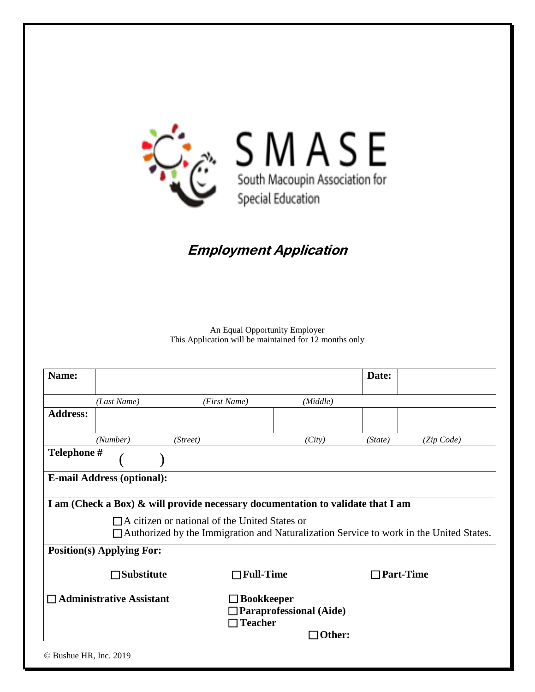

## **Employment Application**

An Equal Opportunity Employer This Application will be maintained for 12 months only

| Name:                                                                                                                                                                                                                                                                        |                                   |                  |          | Date:              |            |
|------------------------------------------------------------------------------------------------------------------------------------------------------------------------------------------------------------------------------------------------------------------------------|-----------------------------------|------------------|----------|--------------------|------------|
|                                                                                                                                                                                                                                                                              | (Last Name)                       | (First Name)     | (Middle) |                    |            |
| <b>Address:</b>                                                                                                                                                                                                                                                              |                                   |                  |          |                    |            |
|                                                                                                                                                                                                                                                                              | (Number)                          | (Street)         | (City)   | (State)            | (Zip Code) |
| Telephone #                                                                                                                                                                                                                                                                  |                                   |                  |          |                    |            |
|                                                                                                                                                                                                                                                                              | <b>E-mail Address (optional):</b> |                  |          |                    |            |
| I am (Check a Box) & will provide necessary documentation to validate that I am<br>$\Box$ A citizen or national of the United States or<br>$\Box$ Authorized by the Immigration and Naturalization Service to work in the United States.<br><b>Position(s) Applying For:</b> |                                   |                  |          |                    |            |
|                                                                                                                                                                                                                                                                              | $\Box$ Substitute                 | $\Box$ Full-Time |          | $\sqcap$ Part-Time |            |
| $\Box$ Administrative Assistant<br>$\Box$ Bookkeeper<br>$\Box$ Paraprofessional (Aide)<br>$\Box$ Teacher<br>Other:                                                                                                                                                           |                                   |                  |          |                    |            |
| © Bushue HR, Inc. 2019                                                                                                                                                                                                                                                       |                                   |                  |          |                    |            |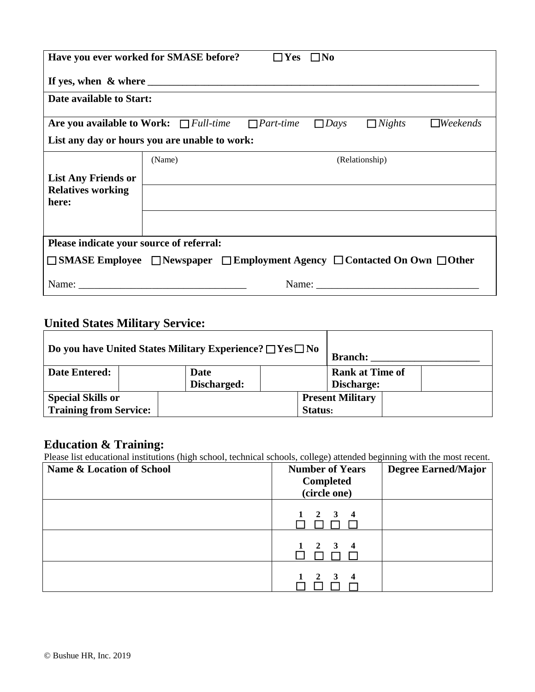| Have you ever worked for SMASE before?                                                               |                          | $\square$ Yes | $\square$ No     |             |               |                 |
|------------------------------------------------------------------------------------------------------|--------------------------|---------------|------------------|-------------|---------------|-----------------|
|                                                                                                      |                          |               |                  |             |               |                 |
| Date available to Start:                                                                             |                          |               |                  |             |               |                 |
| Are you available to Work: $\Box$ Full-time                                                          |                          |               | $\Box$ Part-time | $\Box$ Days | $\Box$ Nights | $\Box$ Weekends |
| List any day or hours you are unable to work:                                                        |                          |               |                  |             |               |                 |
|                                                                                                      | (Relationship)<br>(Name) |               |                  |             |               |                 |
| <b>List Any Friends or</b>                                                                           |                          |               |                  |             |               |                 |
| <b>Relatives working</b><br>here:                                                                    |                          |               |                  |             |               |                 |
|                                                                                                      |                          |               |                  |             |               |                 |
| Please indicate your source of referral:                                                             |                          |               |                  |             |               |                 |
| $\Box$ SMASE Employee $\Box$ Newspaper $\Box$ Employment Agency $\Box$ Contacted On Own $\Box$ Other |                          |               |                  |             |               |                 |
|                                                                                                      | Name:                    |               |                  |             |               |                 |

## **United States Military Service:**

| Do you have United States Military Experience? $\Box$ Yes $\Box$ No |                            |  | <b>Branch:</b>                       |  |  |
|---------------------------------------------------------------------|----------------------------|--|--------------------------------------|--|--|
| <b>Date Entered:</b>                                                | <b>Date</b><br>Discharged: |  | <b>Rank at Time of</b><br>Discharge: |  |  |
| <b>Special Skills or</b><br><b>Training from Service:</b>           |                            |  | <b>Present Military</b><br>Status:   |  |  |

## **Education & Training:**

Please list educational institutions (high school, technical schools, college) attended beginning with the most recent.

| <b>Name &amp; Location of School</b> | <b>Number of Years</b><br><b>Completed</b><br>(circle one) | <b>Degree Earned/Major</b> |
|--------------------------------------|------------------------------------------------------------|----------------------------|
|                                      | $1 \quad 2 \quad 3 \quad 4$                                |                            |
|                                      | $1 \quad 2 \quad 3 \quad 4$                                |                            |
|                                      | $1 \quad 2 \quad 3$<br>$\overline{\mathbf{4}}$             |                            |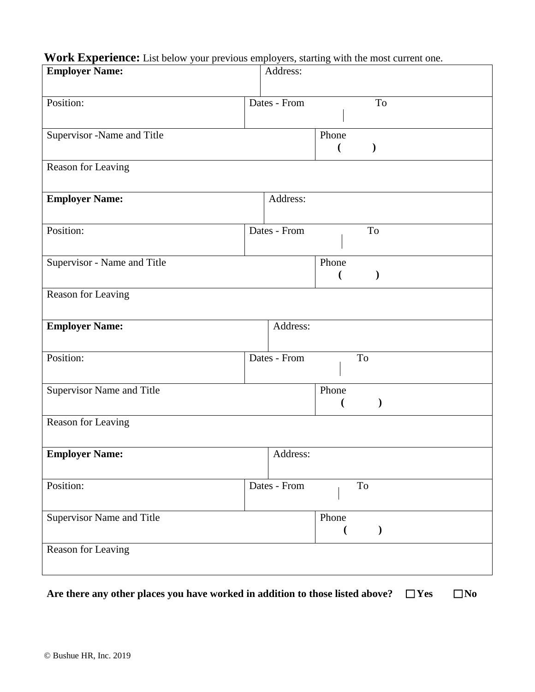# **Work Experience:** List below your previous employers, starting with the most current one.

| <b>Employer Name:</b>       | Address:                                 |
|-----------------------------|------------------------------------------|
| Position:                   | Dates - From<br>To                       |
| Supervisor -Name and Title  | Phone<br>$\mathcal{E}$<br>$\overline{(}$ |
| Reason for Leaving          |                                          |
| <b>Employer Name:</b>       | Address:                                 |
| Position:                   | Dates - From<br>To                       |
| Supervisor - Name and Title | Phone<br>$\mathcal{E}$<br>$\overline{C}$ |
| Reason for Leaving          |                                          |
| <b>Employer Name:</b>       | Address:                                 |
| Position:                   | Dates - From<br>To                       |
| Supervisor Name and Title   | Phone                                    |
| Reason for Leaving          |                                          |
| <b>Employer Name:</b>       | Address:                                 |
| Position:                   | Dates - From<br>To                       |
| Supervisor Name and Title   | Phone<br>$\mathcal{Y}$                   |
| Reason for Leaving          |                                          |

Are there any other places you have worked in addition to those listed above?  $\Box$  Yes  $\Box$  No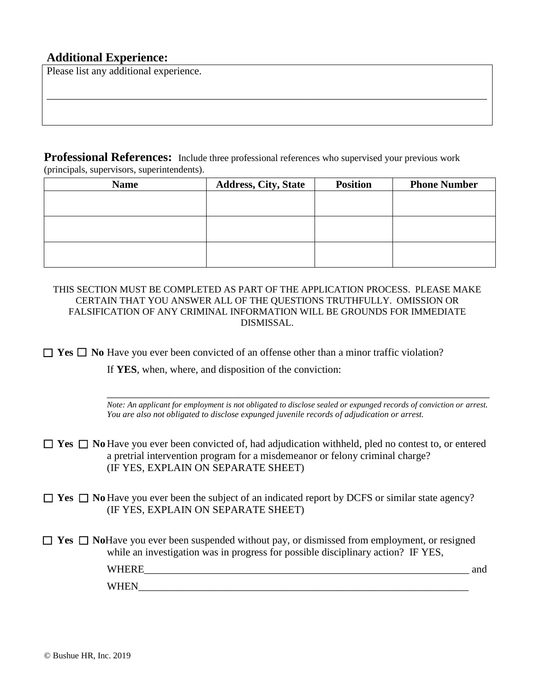#### **Additional Experience:**

Please list any additional experience.

**Professional References:** Include three professional references who supervised your previous work (principals, supervisors, superintendents).

| <b>Name</b> | <b>Address, City, State</b> | <b>Position</b> | <b>Phone Number</b> |
|-------------|-----------------------------|-----------------|---------------------|
|             |                             |                 |                     |
|             |                             |                 |                     |
|             |                             |                 |                     |
|             |                             |                 |                     |
|             |                             |                 |                     |
|             |                             |                 |                     |

\_\_\_\_\_\_\_\_\_\_\_\_\_\_\_\_\_\_\_\_\_\_\_\_\_\_\_\_\_\_\_\_\_\_\_\_\_\_\_\_\_\_\_\_\_\_\_\_\_\_\_\_\_\_\_\_\_\_\_\_\_\_\_\_\_\_\_\_\_\_\_\_\_\_\_\_\_\_\_\_\_\_\_\_

THIS SECTION MUST BE COMPLETED AS PART OF THE APPLICATION PROCESS. PLEASE MAKE CERTAIN THAT YOU ANSWER ALL OF THE QUESTIONS TRUTHFULLY. OMISSION OR FALSIFICATION OF ANY CRIMINAL INFORMATION WILL BE GROUNDS FOR IMMEDIATE DISMISSAL.

 $\Box$  **Yes**  $\Box$  **No** Have you ever been convicted of an offense other than a minor traffic violation?

If **YES**, when, where, and disposition of the conviction:

\_\_\_\_\_\_\_\_\_\_\_\_\_\_\_\_\_\_\_\_\_\_\_\_\_\_\_\_\_\_\_\_\_\_\_\_\_\_\_\_\_\_\_\_\_\_\_\_\_\_\_\_\_\_\_\_\_\_\_\_\_\_\_\_\_\_\_\_\_\_\_\_\_ *Note: An applicant for employment is not obligated to disclose sealed or expunged records of conviction or arrest. You are also not obligated to disclose expunged juvenile records of adjudication or arrest.*

■ Yes ■ No Have you ever been convicted of, had adjudication withheld, pled no contest to, or entered a pretrial intervention program for a misdemeanor or felony criminal charge? (IF YES, EXPLAIN ON SEPARATE SHEET)

 $\Box$  **Yes**  $\Box$  **No** Have you ever been the subject of an indicated report by DCFS or similar state agency? (IF YES, EXPLAIN ON SEPARATE SHEET)

□ Yes □ NoHave you ever been suspended without pay, or dismissed from employment, or resigned while an investigation was in progress for possible disciplinary action? IF YES, WHERE\_\_\_\_\_\_\_\_\_\_\_\_\_\_\_\_\_\_\_\_\_\_\_\_\_\_\_\_\_\_\_\_\_\_\_\_\_\_\_\_\_\_\_\_\_\_\_\_\_\_\_\_\_\_\_\_\_\_\_\_\_\_ and WHEN  $\Box$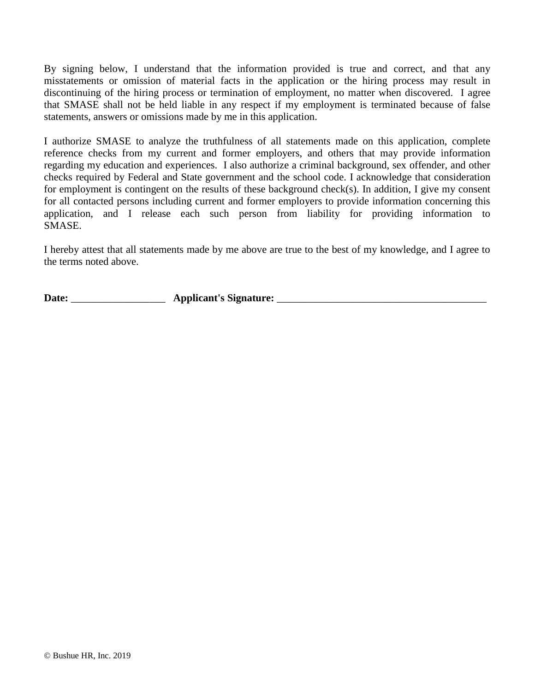By signing below, I understand that the information provided is true and correct, and that any misstatements or omission of material facts in the application or the hiring process may result in discontinuing of the hiring process or termination of employment, no matter when discovered. I agree that SMASE shall not be held liable in any respect if my employment is terminated because of false statements, answers or omissions made by me in this application.

I authorize SMASE to analyze the truthfulness of all statements made on this application, complete reference checks from my current and former employers, and others that may provide information regarding my education and experiences. I also authorize a criminal background, sex offender, and other checks required by Federal and State government and the school code. I acknowledge that consideration for employment is contingent on the results of these background check(s). In addition, I give my consent for all contacted persons including current and former employers to provide information concerning this application, and I release each such person from liability for providing information to SMASE.

I hereby attest that all statements made by me above are true to the best of my knowledge, and I agree to the terms noted above.

**Date:** \_\_\_\_\_\_\_\_\_\_\_\_\_\_\_\_\_\_ **Applicant's Signature:** \_\_\_\_\_\_\_\_\_\_\_\_\_\_\_\_\_\_\_\_\_\_\_\_\_\_\_\_\_\_\_\_\_\_\_\_\_\_\_\_